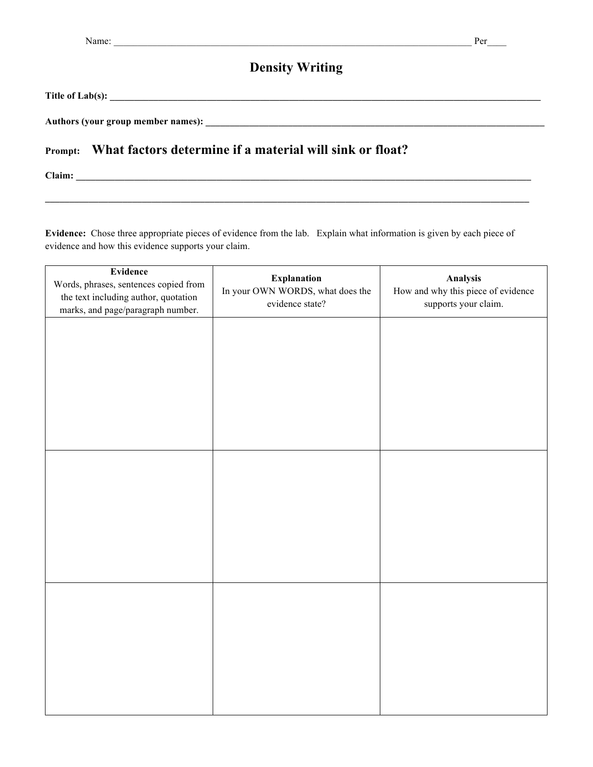#### **Density Writing**

**Title of Lab(s): \_\_\_\_\_\_\_\_\_\_\_\_\_\_\_\_\_\_\_\_\_\_\_\_\_\_\_\_\_\_\_\_\_\_\_\_\_\_\_\_\_\_\_\_\_\_\_\_\_\_\_\_\_\_\_\_\_\_\_\_\_\_\_\_\_\_\_\_\_\_\_\_\_\_\_\_\_\_\_\_\_\_\_\_\_\_\_\_\_**

**Authors (your group member names): \_\_\_\_\_\_\_\_\_\_\_\_\_\_\_\_\_\_\_\_\_\_\_\_\_\_\_\_\_\_\_\_\_\_\_\_\_\_\_\_\_\_\_\_\_\_\_\_\_\_\_\_\_\_\_\_\_\_\_\_\_\_\_\_\_\_\_\_\_\_**

#### **Prompt: What factors determine if a material will sink or float?**

**Claim: \_\_\_\_\_\_\_\_\_\_\_\_\_\_\_\_\_\_\_\_\_\_\_\_\_\_\_\_\_\_\_\_\_\_\_\_\_\_\_\_\_\_\_\_\_\_\_\_\_\_\_\_\_\_\_\_\_\_\_\_\_\_\_\_\_\_\_\_\_\_\_\_\_\_\_\_\_\_\_\_\_\_\_\_\_\_\_\_\_\_\_\_\_\_**

**Evidence:** Chose three appropriate pieces of evidence from the lab. Explain what information is given by each piece of evidence and how this evidence supports your claim.

| Evidence<br>Words, phrases, sentences copied from<br>the text including author, quotation<br>marks, and page/paragraph number. | <b>Explanation</b><br>In your OWN WORDS, what does the<br>evidence state? | Analysis<br>How and why this piece of evidence<br>supports your claim. |
|--------------------------------------------------------------------------------------------------------------------------------|---------------------------------------------------------------------------|------------------------------------------------------------------------|
|                                                                                                                                |                                                                           |                                                                        |
|                                                                                                                                |                                                                           |                                                                        |
|                                                                                                                                |                                                                           |                                                                        |
|                                                                                                                                |                                                                           |                                                                        |
|                                                                                                                                |                                                                           |                                                                        |
|                                                                                                                                |                                                                           |                                                                        |
|                                                                                                                                |                                                                           |                                                                        |
|                                                                                                                                |                                                                           |                                                                        |
|                                                                                                                                |                                                                           |                                                                        |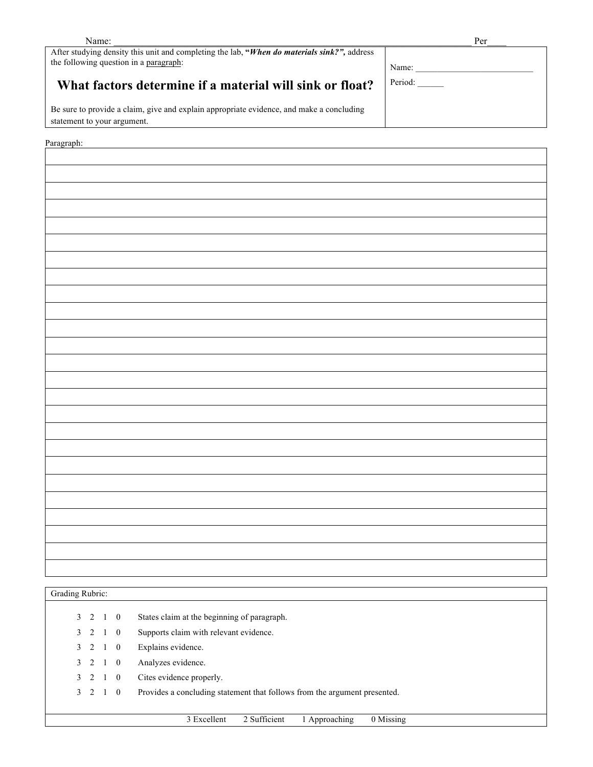| Name:                                                                                                                                 | Per     |  |
|---------------------------------------------------------------------------------------------------------------------------------------|---------|--|
| After studying density this unit and completing the lab, "When do materials sink?", address<br>the following question in a paragraph: | Name:   |  |
| What factors determine if a material will sink or float?                                                                              | Period: |  |
| Be sure to provide a claim, give and explain appropriate evidence, and make a concluding<br>statement to your argument.               |         |  |
|                                                                                                                                       |         |  |

Paragraph:

| Grading Rubric: |                |             |             |                                                                           |
|-----------------|----------------|-------------|-------------|---------------------------------------------------------------------------|
|                 |                |             |             |                                                                           |
|                 |                | 3 2 1 0     |             | States claim at the beginning of paragraph.                               |
|                 | $3\quad 2$     |             | 1 0         | Supports claim with relevant evidence.                                    |
|                 | $3 \quad 2$    | 1 0         |             | Explains evidence.                                                        |
|                 | $3 \quad 2$    | $1 \quad 0$ |             | Analyzes evidence.                                                        |
| 3               | $\overline{2}$ |             | $1 \quad 0$ | Cites evidence properly.                                                  |
|                 | $3\quad 2$     |             | $1 \quad 0$ | Provides a concluding statement that follows from the argument presented. |
|                 |                |             |             |                                                                           |
|                 |                |             |             | 0 Missing<br>2 Sufficient<br>3 Excellent<br>1 Approaching                 |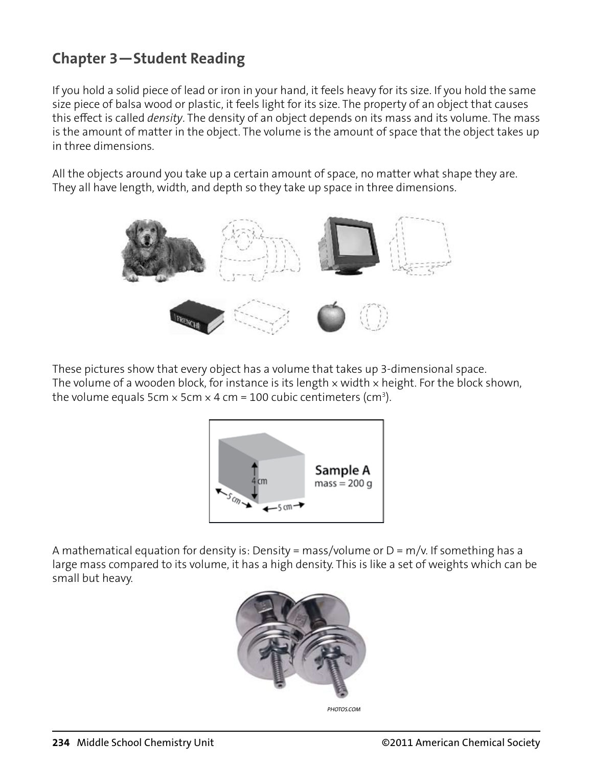# **Chapter 3—Student Reading**

If you hold a solid piece of lead or iron in your hand, it feels heavy for its size. If you hold the same size piece of balsa wood or plastic, it feels light for its size. The property of an object that causes this effect is called *density*. The density of an object depends on its mass and its volume. The mass is the amount of matter in the object. The volume is the amount of space that the object takes up in three dimensions.

All the objects around you take up a certain amount of space, no matter what shape they are. They all have length, width, and depth so they take up space in three dimensions.



These pictures show that every object has a volume that takes up 3-dimensional space. The volume of a wooden block, for instance is its length  $\times$  width  $\times$  height. For the block shown, the volume equals 5cm  $\times$  5cm  $\times$  4 cm = 100 cubic centimeters (cm $^3$ ).



A mathematical equation for density is: Density = mass/volume or  $D = m/v$ . If something has a large mass compared to its volume, it has a high density. This is like a set of weights which can be small but heavy.



*PHOTOS.COM*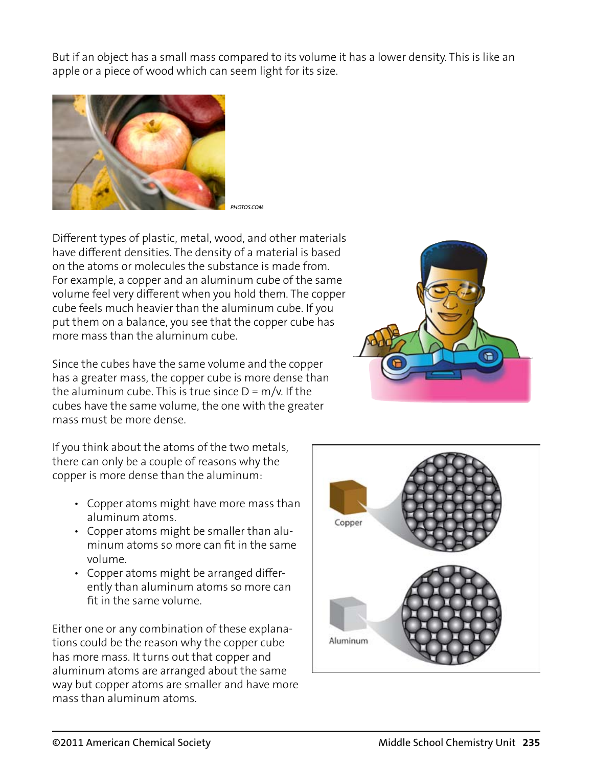But if an object has a small mass compared to its volume it has a lower density. This is like an apple or a piece of wood which can seem light for its size.



*PHOTOS.COM*

Different types of plastic, metal, wood, and other materials have different densities. The density of a material is based on the atoms or molecules the substance is made from. For example, a copper and an aluminum cube of the same volume feel very different when you hold them. The copper cube feels much heavier than the aluminum cube. If you put them on a balance, you see that the copper cube has more mass than the aluminum cube.

Since the cubes have the same volume and the copper has a greater mass, the copper cube is more dense than the aluminum cube. This is true since  $D = m/v$ . If the cubes have the same volume, the one with the greater mass must be more dense.



If you think about the atoms of the two metals, there can only be a couple of reasons why the copper is more dense than the aluminum:

- Copper atoms might have more mass than aluminum atoms.
- Copper atoms might be smaller than aluminum atoms so more can ft in the same volume.
- Copper atoms might be arranged differently than aluminum atoms so more can ft in the same volume.

Either one or any combination of these explanations could be the reason why the copper cube has more mass. It turns out that copper and aluminum atoms are arranged about the same way but copper atoms are smaller and have more mass than aluminum atoms.

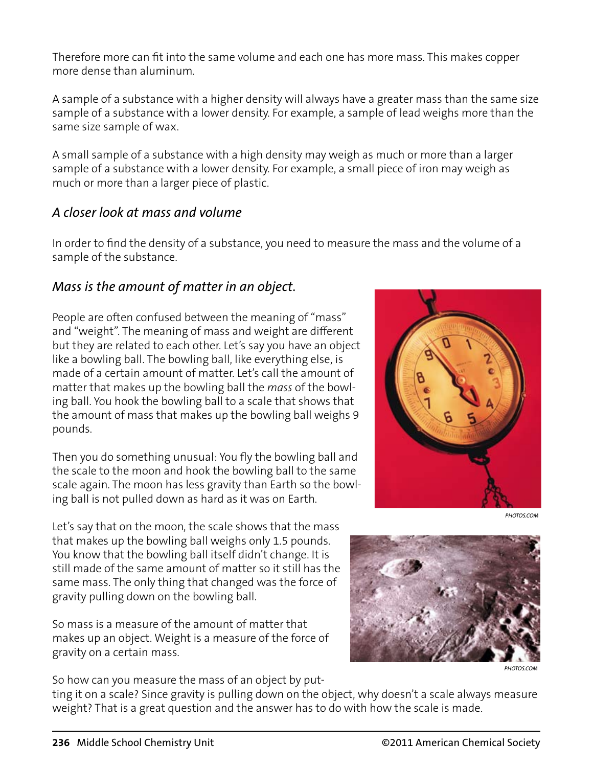Therefore more can ft into the same volume and each one has more mass. This makes copper more dense than aluminum.

A sample of a substance with a higher density will always have a greater mass than the same size sample of a substance with a lower density. For example, a sample of lead weighs more than the same size sample of wax.

A small sample of a substance with a high density may weigh as much or more than a larger sample of a substance with a lower density. For example, a small piece of iron may weigh as much or more than a larger piece of plastic.

#### *A closer look at mass and volume*

In order to fnd the density of a substance, you need to measure the mass and the volume of a sample of the substance.

#### *Mass is the amount of matter in an object.*

People are often confused between the meaning of "mass" and "weight". The meaning of mass and weight are different but they are related to each other. Let's say you have an object like a bowling ball. The bowling ball, like everything else, is made of a certain amount of matter. Let's call the amount of matter that makes up the bowling ball the *mass* of the bowling ball. You hook the bowling ball to a scale that shows that the amount of mass that makes up the bowling ball weighs 9 pounds.

Then you do something unusual: You fy the bowling ball and the scale to the moon and hook the bowling ball to the same scale again. The moon has less gravity than Earth so the bowling ball is not pulled down as hard as it was on Earth.

Let's say that on the moon, the scale shows that the mass that makes up the bowling ball weighs only 1.5 pounds. You know that the bowling ball itself didn't change. It is still made of the same amount of matter so it still has the same mass. The only thing that changed was the force of gravity pulling down on the bowling ball.

So mass is a measure of the amount of matter that makes up an object. Weight is a measure of the force of gravity on a certain mass.

So how can you measure the mass of an object by put-



*PHOTOS.COM*



*PHOTOS.COM*

ting it on a scale? Since gravity is pulling down on the object, why doesn't a scale always measure weight? That is a great question and the answer has to do with how the scale is made.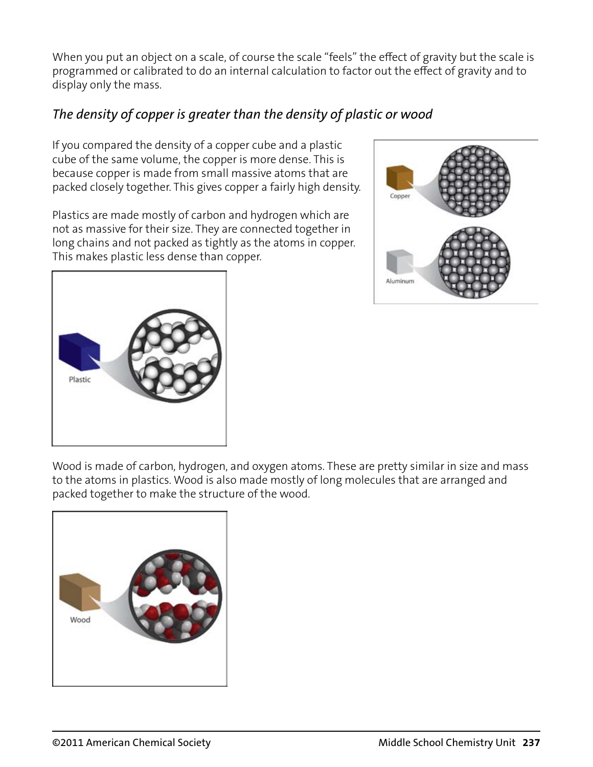When you put an object on a scale, of course the scale "feels" the effect of gravity but the scale is programmed or calibrated to do an internal calculation to factor out the effect of gravity and to display only the mass.

# *The density of copper is greater than the density of plastic or wood*

If you compared the density of a copper cube and a plastic cube of the same volume, the copper is more dense. This is because copper is made from small massive atoms that are packed closely together. This gives copper a fairly high density.

Plastics are made mostly of carbon and hydrogen which are not as massive for their size. They are connected together in long chains and not packed as tightly as the atoms in copper. This makes plastic less dense than copper.





Wood is made of carbon, hydrogen, and oxygen atoms. These are pretty similar in size and mass to the atoms in plastics. Wood is also made mostly of long molecules that are arranged and packed together to make the structure of the wood.

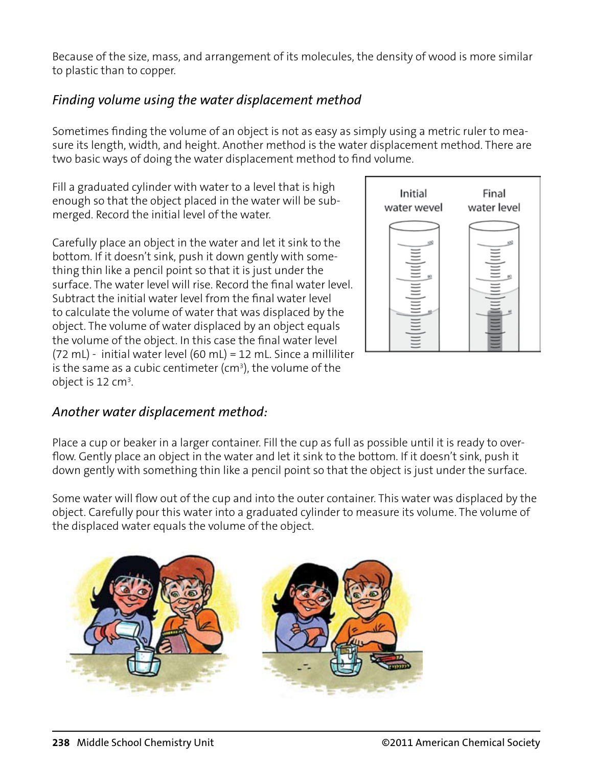Because of the size, mass, and arrangement of its molecules, the density of wood is more similar to plastic than to copper.

# *Finding volume using the water displacement method*

Sometimes fnding the volume of an object is not as easy as simply using a metric ruler to measure its length, width, and height. Another method is the water displacement method. There are two basic ways of doing the water displacement method to fnd volume.

Fill a graduated cylinder with water to a level that is high enough so that the object placed in the water will be submerged. Record the initial level of the water.

Carefully place an object in the water and let it sink to the bottom. If it doesn't sink, push it down gently with something thin like a pencil point so that it is just under the surface. The water level will rise. Record the fnal water level. Subtract the initial water level from the fnal water level to calculate the volume of water that was displaced by the object. The volume of water displaced by an object equals the volume of the object. In this case the fnal water level (72 mL) - initial water level (60 mL) = 12 mL. Since a milliliter is the same as a cubic centimeter (cm $^3$ ), the volume of the object is 12 cm $3$ .

# *Another water displacement method:*

Place a cup or beaker in a larger container. Fill the cup as full as possible until it is ready to overfow. Gently place an object in the water and let it sink to the bottom. If it doesn't sink, push it down gently with something thin like a pencil point so that the object is just under the surface.

Some water will fow out of the cup and into the outer container. This water was displaced by the object. Carefully pour this water into a graduated cylinder to measure its volume. The volume of the displaced water equals the volume of the object.



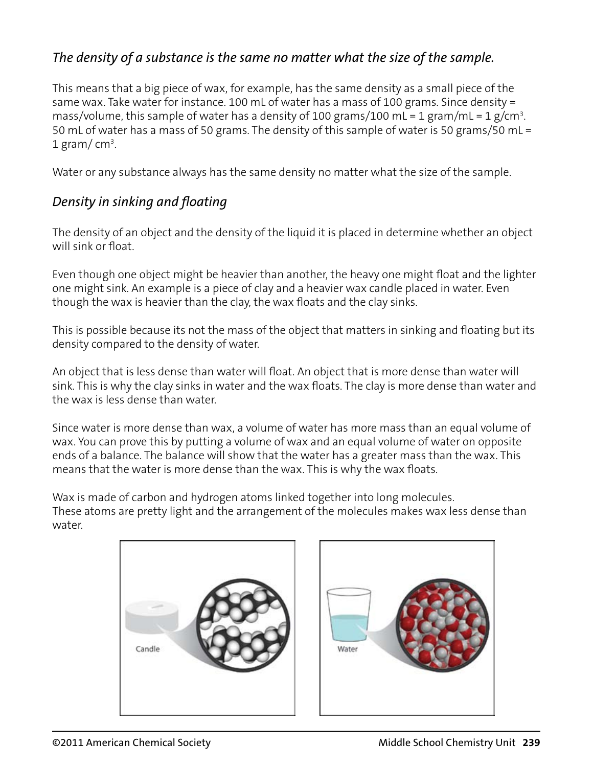## *The density of a substance is the same no matter what the size of the sample.*

This means that a big piece of wax, for example, has the same density as a small piece of the same wax. Take water for instance. 100 mL of water has a mass of 100 grams. Since density = mass/volume, this sample of water has a density of 100 grams/100 mL = 1 gram/mL = 1 g/cm<sup>3</sup>. 50 mL of water has a mass of 50 grams. The density of this sample of water is 50 grams/50 mL =  $1$  gram/cm<sup>3</sup>.

Water or any substance always has the same density no matter what the size of the sample.

#### *Density in sinking and foating*

The density of an object and the density of the liquid it is placed in determine whether an object will sink or float.

Even though one object might be heavier than another, the heavy one might foat and the lighter one might sink. An example is a piece of clay and a heavier wax candle placed in water. Even though the wax is heavier than the clay, the wax foats and the clay sinks.

This is possible because its not the mass of the object that matters in sinking and foating but its density compared to the density of water.

An object that is less dense than water will float. An object that is more dense than water will sink. This is why the clay sinks in water and the wax foats. The clay is more dense than water and the wax is less dense than water.

Since water is more dense than wax, a volume of water has more mass than an equal volume of wax. You can prove this by putting a volume of wax and an equal volume of water on opposite ends of a balance. The balance will show that the water has a greater mass than the wax. This means that the water is more dense than the wax. This is why the wax foats.

Wax is made of carbon and hydrogen atoms linked together into long molecules. These atoms are pretty light and the arrangement of the molecules makes wax less dense than water.



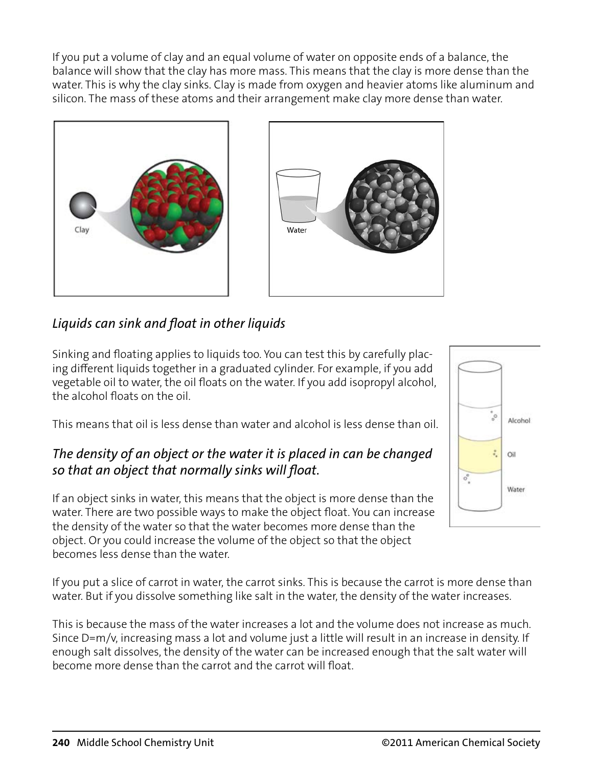If you put a volume of clay and an equal volume of water on opposite ends of a balance, the balance will show that the clay has more mass. This means that the clay is more dense than the water. This is why the clay sinks. Clay is made from oxygen and heavier atoms like aluminum and silicon. The mass of these atoms and their arrangement make clay more dense than water.





# *Liquids can sink and foat in other liquids*

Sinking and foating applies to liquids too. You can test this by carefully placing different liquids together in a graduated cylinder. For example, if you add vegetable oil to water, the oil foats on the water. If you add isopropyl alcohol, the alcohol foats on the oil.

This means that oil is less dense than water and alcohol is less dense than oil.

## *The density of an object or the water it is placed in can be changed so that an object that normally sinks will foat.*

If an object sinks in water, this means that the object is more dense than the water. There are two possible ways to make the object float. You can increase the density of the water so that the water becomes more dense than the object. Or you could increase the volume of the object so that the object becomes less dense than the water.

If you put a slice of carrot in water, the carrot sinks. This is because the carrot is more dense than water. But if you dissolve something like salt in the water, the density of the water increases.

This is because the mass of the water increases a lot and the volume does not increase as much. Since D=m/v, increasing mass a lot and volume just a little will result in an increase in density. If enough salt dissolves, the density of the water can be increased enough that the salt water will become more dense than the carrot and the carrot will foat.